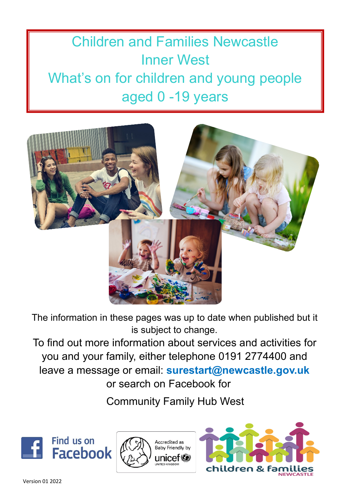# Children and Families Newcastle Inner West What's on for children and young people aged 0 -19 years



The information in these pages was up to date when published but it is subject to change.

To find out more information about services and activities for you and your family, either telephone 0191 2774400 and leave a message or email: **surestart@newcastle.gov.uk** or search on Facebook for

Community Family Hub West





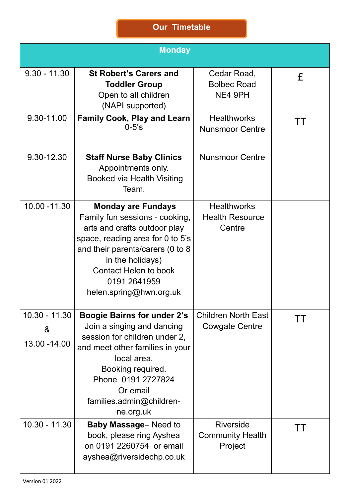|                                       | <b>Monday</b>                                                                                                                                                                                                                                                      |                                                        |         |
|---------------------------------------|--------------------------------------------------------------------------------------------------------------------------------------------------------------------------------------------------------------------------------------------------------------------|--------------------------------------------------------|---------|
| $9.30 - 11.30$                        | <b>St Robert's Carers and</b><br><b>Toddler Group</b><br>Open to all children<br>(NAPI supported)                                                                                                                                                                  | Cedar Road,<br><b>Bolbec Road</b><br>NE4 9PH           | £       |
| 9.30-11.00                            | <b>Family Cook, Play and Learn</b><br>$0 - 5$ 's                                                                                                                                                                                                                   | <b>Healthworks</b><br><b>Nunsmoor Centre</b>           | TТ      |
| 9.30-12.30                            | <b>Staff Nurse Baby Clinics</b><br>Appointments only.<br><b>Booked via Health Visiting</b><br>Team.                                                                                                                                                                | <b>Nunsmoor Centre</b>                                 |         |
| 10.00 - 11.30                         | <b>Monday are Fundays</b><br>Family fun sessions - cooking,<br>arts and crafts outdoor play<br>space, reading area for 0 to 5's<br>and their parents/carers (0 to 8<br>in the holidays)<br><b>Contact Helen to book</b><br>0191 2641959<br>helen.spring@hwn.org.uk | <b>Healthworks</b><br><b>Health Resource</b><br>Centre |         |
| $10.30 - 11.30$<br>&<br>13.00 - 14.00 | <b>Boogie Bairns for under 2's</b><br>Join a singing and dancing<br>session for children under 2,<br>and meet other families in your<br>local area.<br>Booking required.<br>Phone 0191 2727824<br>Or email<br>families.admin@children-<br>ne.org.uk                | <b>Children North East</b><br><b>Cowgate Centre</b>    |         |
| $10.30 - 11.30$                       | <b>Baby Massage-Need to</b><br>book, please ring Ayshea<br>on 0191 2260754 or email<br>ayshea@riversidechp.co.uk                                                                                                                                                   | <b>Riverside</b><br><b>Community Health</b><br>Project | $\perp$ |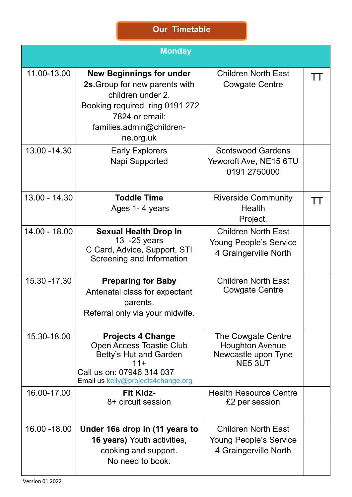|                 | <b>Monday</b>                                                                                                                                                                       |                                                                                      |              |
|-----------------|-------------------------------------------------------------------------------------------------------------------------------------------------------------------------------------|--------------------------------------------------------------------------------------|--------------|
| 11.00-13.00     | <b>New Beginnings for under</b><br>2s. Group for new parents with<br>children under 2.<br>Booking required ring 0191 272<br>7824 or email:<br>families.admin@children-<br>ne.org.uk | <b>Children North East</b><br><b>Cowgate Centre</b>                                  | $\mathbf{1}$ |
| 13.00 - 14.30   | <b>Early Explorers</b><br>Napi Supported                                                                                                                                            | <b>Scotswood Gardens</b><br>Yewcroft Ave, NE15 6TU<br>0191 2750000                   |              |
| $13.00 - 14.30$ | <b>Toddle Time</b><br>Ages 1-4 years                                                                                                                                                | <b>Riverside Community</b><br>Health<br>Project.                                     | TТ           |
| 14.00 - 18.00   | <b>Sexual Health Drop In</b><br>13 - 25 years<br>C Card, Advice, Support, STI<br>Screening and Information                                                                          | <b>Children North East</b><br><b>Young People's Service</b><br>4 Graingerville North |              |
| 15.30 - 17.30   | <b>Preparing for Baby</b><br>Antenatal class for expectant<br>parents.<br>Referral only via your midwife.                                                                           | <b>Children North East</b><br><b>Cowgate Centre</b>                                  |              |
| 15.30-18.00     | <b>Projects 4 Change</b><br>Open Access Toastie Club<br><b>Betty's Hut and Garden</b><br>$11+$<br>Call us on: 07946 314 037<br>Email us kelly@projects4change.org                   | The Cowgate Centre<br><b>Houghton Avenue</b><br>Newcastle upon Tyne<br>NE5 3UT       |              |
| 16.00-17.00     | <b>Fit Kidz-</b><br>8+ circuit session                                                                                                                                              | <b>Health Resource Centre</b><br>£2 per session                                      |              |
| 16.00 - 18.00   | Under 16s drop in (11 years to<br><b>16 years)</b> Youth activities,<br>cooking and support.<br>No need to book.                                                                    | <b>Children North East</b><br>Young People's Service<br>4 Graingerville North        |              |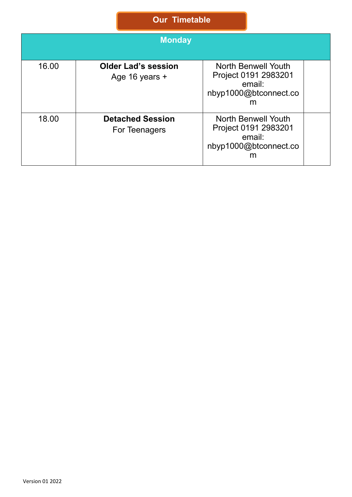|       | <b>Monday</b>                                |                                                                                            |  |
|-------|----------------------------------------------|--------------------------------------------------------------------------------------------|--|
| 16.00 | <b>Older Lad's session</b><br>Age 16 years + | <b>North Benwell Youth</b><br>Project 0191 2983201<br>email:<br>nbyp1000@btconnect.co<br>m |  |
| 18.00 | <b>Detached Session</b><br>For Teenagers     | North Benwell Youth<br>Project 0191 2983201<br>email:<br>nbyp1000@btconnect.co<br>m        |  |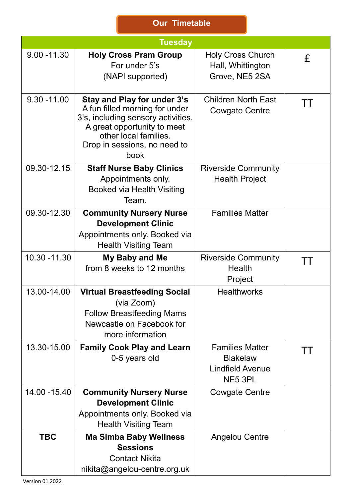|                | <b>Tuesday</b>                                                                                                                                                                                      |                                                                                 |           |
|----------------|-----------------------------------------------------------------------------------------------------------------------------------------------------------------------------------------------------|---------------------------------------------------------------------------------|-----------|
| $9.00 - 11.30$ | <b>Holy Cross Pram Group</b><br>For under 5's<br>(NAPI supported)                                                                                                                                   | <b>Holy Cross Church</b><br>Hall, Whittington<br>Grove, NE5 2SA                 | £         |
| $9.30 - 11.00$ | Stay and Play for under 3's<br>A fun filled morning for under<br>3's, including sensory activities.<br>A great opportunity to meet<br>other local families.<br>Drop in sessions, no need to<br>book | <b>Children North East</b><br><b>Cowgate Centre</b>                             | $\perp$   |
| 09.30-12.15    | <b>Staff Nurse Baby Clinics</b><br>Appointments only.<br><b>Booked via Health Visiting</b><br>Team.                                                                                                 | <b>Riverside Community</b><br><b>Health Project</b>                             |           |
| 09.30-12.30    | <b>Community Nursery Nurse</b><br><b>Development Clinic</b><br>Appointments only. Booked via<br><b>Health Visiting Team</b>                                                                         | <b>Families Matter</b>                                                          |           |
| 10.30 - 11.30  | My Baby and Me<br>from 8 weeks to 12 months                                                                                                                                                         | <b>Riverside Community</b><br><b>Health</b><br>Project                          | TТ        |
| 13.00-14.00    | <b>Virtual Breastfeeding Social</b><br>(via Zoom)<br><b>Follow Breastfeeding Mams</b><br>Newcastle on Facebook for<br>more information                                                              | <b>Healthworks</b>                                                              |           |
| 13.30-15.00    | <b>Family Cook Play and Learn</b><br>0-5 years old                                                                                                                                                  | <b>Families Matter</b><br><b>Blakelaw</b><br><b>Lindfield Avenue</b><br>NE5 3PL | <b>TT</b> |
| 14.00 - 15.40  | <b>Community Nursery Nurse</b><br><b>Development Clinic</b><br>Appointments only. Booked via<br><b>Health Visiting Team</b>                                                                         | <b>Cowgate Centre</b>                                                           |           |
| <b>TBC</b>     | <b>Ma Simba Baby Wellness</b><br><b>Sessions</b><br><b>Contact Nikita</b><br>nikita@angelou-centre.org.uk                                                                                           | <b>Angelou Centre</b>                                                           |           |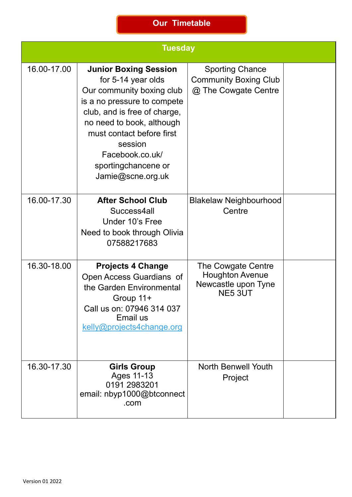|             | <b>Tuesday</b>                                                                                                                                                                                                                                                                     |                                                                                       |  |  |
|-------------|------------------------------------------------------------------------------------------------------------------------------------------------------------------------------------------------------------------------------------------------------------------------------------|---------------------------------------------------------------------------------------|--|--|
| 16.00-17.00 | <b>Junior Boxing Session</b><br>for 5-14 year olds<br>Our community boxing club<br>is a no pressure to compete<br>club, and is free of charge,<br>no need to book, although<br>must contact before first<br>session<br>Facebook.co.uk/<br>sportingchancene or<br>Jamie@scne.org.uk | <b>Sporting Chance</b><br><b>Community Boxing Club</b><br>@ The Cowgate Centre        |  |  |
| 16.00-17.30 | <b>After School Club</b><br>Success4all<br>Under 10's Free<br>Need to book through Olivia<br>07588217683                                                                                                                                                                           | <b>Blakelaw Neighbourhood</b><br>Centre                                               |  |  |
| 16.30-18.00 | <b>Projects 4 Change</b><br>Open Access Guardians of<br>the Garden Environmental<br>Group 11+<br>Call us on: 07946 314 037<br>Email us<br>kelly@projects4change.org                                                                                                                | The Cowgate Centre<br><b>Houghton Avenue</b><br>Newcastle upon Tyne<br><b>NE5 3UT</b> |  |  |
| 16.30-17.30 | <b>Girls Group</b><br>Ages 11-13<br>0191 2983201<br>email: nbyp1000@btconnect<br>.com                                                                                                                                                                                              | <b>North Benwell Youth</b><br>Project                                                 |  |  |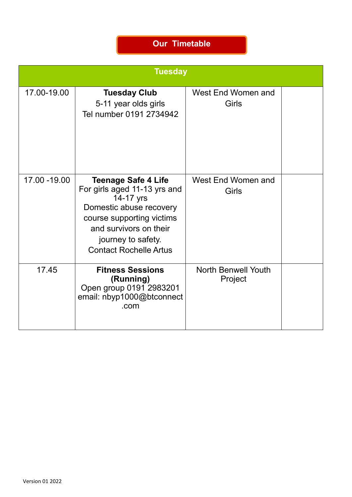|               | <b>Tuesday</b>                                                                                                                                                                                                   |                                       |  |
|---------------|------------------------------------------------------------------------------------------------------------------------------------------------------------------------------------------------------------------|---------------------------------------|--|
| 17.00-19.00   | <b>Tuesday Club</b><br>5-11 year olds girls<br>Tel number 0191 2734942                                                                                                                                           | West End Women and<br>Girls           |  |
| 17.00 - 19.00 | <b>Teenage Safe 4 Life</b><br>For girls aged 11-13 yrs and<br>14-17 yrs<br>Domestic abuse recovery<br>course supporting victims<br>and survivors on their<br>journey to safety.<br><b>Contact Rochelle Artus</b> | West End Women and<br><b>Girls</b>    |  |
| 17.45         | <b>Fitness Sessions</b><br>(Running)<br>Open group 0191 2983201<br>email: nbyp1000@btconnect<br>.com                                                                                                             | <b>North Benwell Youth</b><br>Project |  |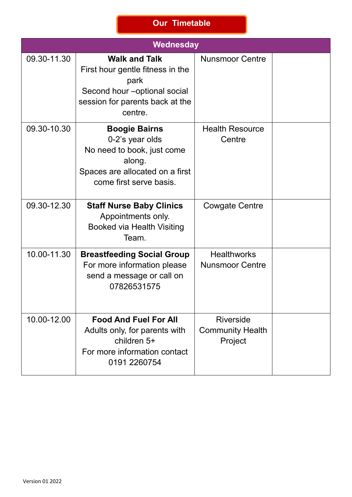|             | Wednesday                                                                                                                                       |                                                 |  |
|-------------|-------------------------------------------------------------------------------------------------------------------------------------------------|-------------------------------------------------|--|
| 09.30-11.30 | <b>Walk and Talk</b><br>First hour gentle fitness in the<br>park<br>Second hour - optional social<br>session for parents back at the<br>centre. | <b>Nunsmoor Centre</b>                          |  |
| 09.30-10.30 | <b>Boogie Bairns</b><br>0-2's year olds<br>No need to book, just come<br>along.<br>Spaces are allocated on a first<br>come first serve basis.   | <b>Health Resource</b><br>Centre                |  |
| 09.30-12.30 | <b>Staff Nurse Baby Clinics</b><br>Appointments only.<br><b>Booked via Health Visiting</b><br>Team.                                             | Cowgate Centre                                  |  |
| 10.00-11.30 | <b>Breastfeeding Social Group</b><br>For more information please<br>send a message or call on<br>07826531575                                    | <b>Healthworks</b><br><b>Nunsmoor Centre</b>    |  |
| 10.00-12.00 | <b>Food And Fuel For All</b><br>Adults only, for parents with<br>children 5+<br>For more information contact<br>0191 2260754                    | Riverside<br><b>Community Health</b><br>Project |  |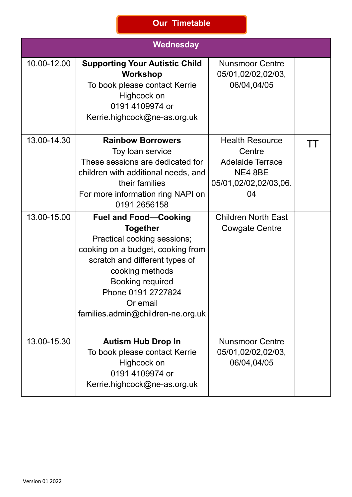|                            | <b>Wednesday</b>                                                                                                                                                                                                                                                                                                                                                                                                                                                             |                                                                                                                                                              |  |
|----------------------------|------------------------------------------------------------------------------------------------------------------------------------------------------------------------------------------------------------------------------------------------------------------------------------------------------------------------------------------------------------------------------------------------------------------------------------------------------------------------------|--------------------------------------------------------------------------------------------------------------------------------------------------------------|--|
| 10.00-12.00                | <b>Supporting Your Autistic Child</b><br>Workshop<br>To book please contact Kerrie<br>Highcock on<br>0191 4109974 or<br>Kerrie.highcock@ne-as.org.uk                                                                                                                                                                                                                                                                                                                         | <b>Nunsmoor Centre</b><br>05/01,02/02,02/03,<br>06/04,04/05                                                                                                  |  |
| 13.00-14.30<br>13.00-15.00 | <b>Rainbow Borrowers</b><br>Toy loan service<br>These sessions are dedicated for<br>children with additional needs, and<br>their families<br>For more information ring NAPI on<br>0191 2656158<br><b>Fuel and Food-Cooking</b><br><b>Together</b><br>Practical cooking sessions;<br>cooking on a budget, cooking from<br>scratch and different types of<br>cooking methods<br><b>Booking required</b><br>Phone 0191 2727824<br>Or email<br>families.admin@children-ne.org.uk | <b>Health Resource</b><br>Centre<br><b>Adelaide Terrace</b><br>NE4 8BE<br>05/01,02/02,02/03,06.<br>04<br><b>Children North East</b><br><b>Cowgate Centre</b> |  |
| 13.00-15.30                | <b>Autism Hub Drop In</b><br>To book please contact Kerrie<br>Highcock on<br>0191 4109974 or<br>Kerrie.highcock@ne-as.org.uk                                                                                                                                                                                                                                                                                                                                                 | <b>Nunsmoor Centre</b><br>05/01,02/02,02/03,<br>06/04,04/05                                                                                                  |  |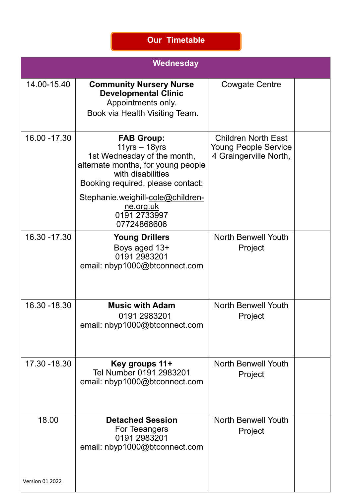|                          | Wednesday                                                                                                                                                                                                                                                |                                                                                     |  |
|--------------------------|----------------------------------------------------------------------------------------------------------------------------------------------------------------------------------------------------------------------------------------------------------|-------------------------------------------------------------------------------------|--|
| 14.00-15.40              | <b>Community Nursery Nurse</b><br><b>Developmental Clinic</b><br>Appointments only.<br>Book via Health Visiting Team.                                                                                                                                    | Cowgate Centre                                                                      |  |
| 16.00 - 17.30            | <b>FAB Group:</b><br>$11$ yrs $- 18$ yrs<br>1st Wednesday of the month,<br>alternate months, for young people<br>with disabilities<br>Booking required, please contact:<br>Stephanie.weighill-cole@children-<br>ne.org.uk<br>0191 2733997<br>07724868606 | <b>Children North East</b><br><b>Young People Service</b><br>4 Graingerville North, |  |
| 16.30 - 17.30            | <b>Young Drillers</b><br>Boys aged 13+<br>0191 2983201<br>email: nbyp1000@btconnect.com                                                                                                                                                                  | <b>North Benwell Youth</b><br>Project                                               |  |
| 16.30 - 18.30            | <b>Music with Adam</b><br>0191 2983201<br>email: nbyp1000@btconnect.com                                                                                                                                                                                  | <b>North Benwell Youth</b><br>Project                                               |  |
| 17.30 - 18.30            | Key groups 11+<br>Tel Number 0191 2983201<br>email: nbyp1000@btconnect.com                                                                                                                                                                               | <b>North Benwell Youth</b><br>Project                                               |  |
| 18.00<br>Version 01 2022 | <b>Detached Session</b><br>For Teeangers<br>0191 2983201<br>email: nbyp1000@btconnect.com                                                                                                                                                                | <b>North Benwell Youth</b><br>Project                                               |  |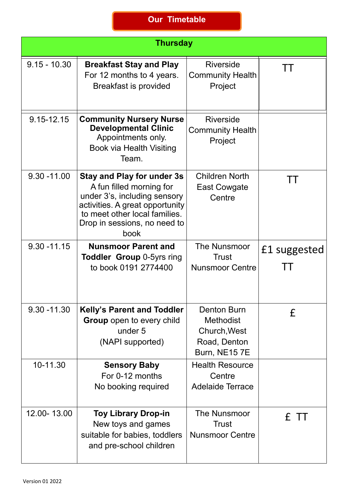|                | <b>Thursday</b>                                                                                                                                                                                           |                                                                                        |                    |  |
|----------------|-----------------------------------------------------------------------------------------------------------------------------------------------------------------------------------------------------------|----------------------------------------------------------------------------------------|--------------------|--|
| $9.15 - 10.30$ | <b>Breakfast Stay and Play</b><br>For 12 months to 4 years.<br><b>Breakfast is provided</b>                                                                                                               | <b>Riverside</b><br><b>Community Health</b><br>Project                                 | $\mathbf{1}$       |  |
| 9.15-12.15     | <b>Community Nursery Nurse</b><br><b>Developmental Clinic</b><br>Appointments only.<br>Book via Health Visiting<br>Team.                                                                                  | <b>Riverside</b><br><b>Community Health</b><br>Project                                 |                    |  |
| $9.30 - 11.00$ | <b>Stay and Play for under 3s</b><br>A fun filled morning for<br>under 3's, including sensory<br>activities. A great opportunity<br>to meet other local families.<br>Drop in sessions, no need to<br>book | <b>Children North</b><br><b>East Cowgate</b><br>Centre                                 | TТ                 |  |
| $9.30 - 11.15$ | <b>Nunsmoor Parent and</b><br><b>Toddler Group 0-5yrs ring</b><br>to book 0191 2774400                                                                                                                    | <b>The Nunsmoor</b><br><b>Trust</b><br><b>Nunsmoor Centre</b>                          | £1 suggested<br>ТT |  |
| $9.30 - 11.30$ | <b>Kelly's Parent and Toddler</b><br><b>Group</b> open to every child<br>under 5<br>(NAPI supported)                                                                                                      | <b>Denton Burn</b><br><b>Methodist</b><br>Church, West<br>Road, Denton<br>Burn, NE157E | £                  |  |
| 10-11.30       | <b>Sensory Baby</b><br>For 0-12 months<br>No booking required                                                                                                                                             | <b>Health Resource</b><br>Centre<br><b>Adelaide Terrace</b>                            |                    |  |
| 12.00-13.00    | <b>Toy Library Drop-in</b><br>New toys and games<br>suitable for babies, toddlers<br>and pre-school children                                                                                              | The Nunsmoor<br><b>Trust</b><br><b>Nunsmoor Centre</b>                                 | £ TT               |  |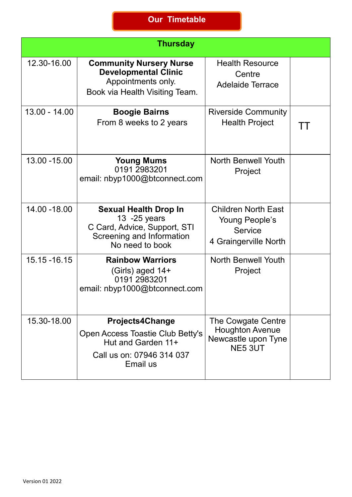|                 | <b>Thursday</b>                                                                                                               |                                                                                  |    |
|-----------------|-------------------------------------------------------------------------------------------------------------------------------|----------------------------------------------------------------------------------|----|
| 12.30-16.00     | <b>Community Nursery Nurse</b><br><b>Developmental Clinic</b><br>Appointments only.<br>Book via Health Visiting Team.         | <b>Health Resource</b><br>Centre<br><b>Adelaide Terrace</b>                      |    |
| $13.00 - 14.00$ | <b>Boogie Bairns</b><br>From 8 weeks to 2 years                                                                               | <b>Riverside Community</b><br><b>Health Project</b>                              | TТ |
| 13.00 - 15.00   | <b>Young Mums</b><br>0191 2983201<br>email: nbyp1000@btconnect.com                                                            | <b>North Benwell Youth</b><br>Project                                            |    |
| 14.00 - 18.00   | <b>Sexual Health Drop In</b><br>13 - 25 years<br>C Card, Advice, Support, STI<br>Screening and Information<br>No need to book | <b>Children North East</b><br>Young People's<br>Service<br>4 Graingerville North |    |
| 15.15 - 16.15   | <b>Rainbow Warriors</b><br>(Girls) aged 14+<br>0191 2983201<br>email: nbyp1000@btconnect.com                                  | <b>North Benwell Youth</b><br>Project                                            |    |
| 15.30-18.00     | <b>Projects4Change</b><br>Open Access Toastie Club Betty's<br>Hut and Garden 11+<br>Call us on: 07946 314 037<br>Email us     | The Cowgate Centre<br><b>Houghton Avenue</b><br>Newcastle upon Tyne<br>NE5 3UT   |    |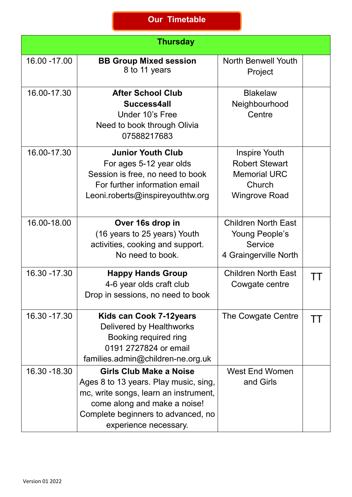|               | <b>Thursday</b>                                                                                                                                                                                          |                                                                                                        |    |
|---------------|----------------------------------------------------------------------------------------------------------------------------------------------------------------------------------------------------------|--------------------------------------------------------------------------------------------------------|----|
| 16.00 - 17.00 | <b>BB Group Mixed session</b><br>8 to 11 years                                                                                                                                                           | <b>North Benwell Youth</b><br>Project                                                                  |    |
| 16.00-17.30   | <b>After School Club</b><br>Success4all<br>Under 10's Free<br>Need to book through Olivia<br>07588217683                                                                                                 | <b>Blakelaw</b><br>Neighbourhood<br>Centre                                                             |    |
| 16.00-17.30   | <b>Junior Youth Club</b><br>For ages 5-12 year olds<br>Session is free, no need to book<br>For further information email<br>Leoni.roberts@inspireyouthtw.org                                             | <b>Inspire Youth</b><br><b>Robert Stewart</b><br><b>Memorial URC</b><br>Church<br><b>Wingrove Road</b> |    |
| 16.00-18.00   | Over 16s drop in<br>(16 years to 25 years) Youth<br>activities, cooking and support.<br>No need to book.                                                                                                 | <b>Children North East</b><br>Young People's<br><b>Service</b><br>4 Graingerville North                |    |
| 16.30 - 17.30 | <b>Happy Hands Group</b><br>4-6 year olds craft club<br>Drop in sessions, no need to book                                                                                                                | <b>Children North East</b><br>Cowgate centre                                                           | TT |
| 16.30 - 17.30 | Kids can Cook 7-12years<br>Delivered by Healthworks<br>Booking required ring<br>0191 2727824 or email<br>families.admin@children-ne.org.uk                                                               | The Cowgate Centre                                                                                     | TТ |
| 16.30 - 18.30 | Girls Club Make a Noise<br>Ages 8 to 13 years. Play music, sing,<br>mc, write songs, learn an instrument,<br>come along and make a noise!<br>Complete beginners to advanced, no<br>experience necessary. | <b>West End Women</b><br>and Girls                                                                     |    |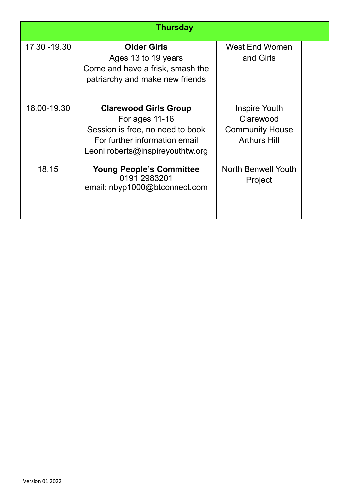|               | <b>Thursday</b>                                                                                                                                           |                                                                             |  |
|---------------|-----------------------------------------------------------------------------------------------------------------------------------------------------------|-----------------------------------------------------------------------------|--|
| 17.30 - 19.30 | <b>Older Girls</b><br>Ages 13 to 19 years<br>Come and have a frisk, smash the<br>patriarchy and make new friends                                          | West End Women<br>and Girls                                                 |  |
| 18.00-19.30   | <b>Clarewood Girls Group</b><br>For ages $11-16$<br>Session is free, no need to book<br>For further information email<br>Leoni.roberts@inspireyouthtw.org | Inspire Youth<br>Clarewood<br><b>Community House</b><br><b>Arthurs Hill</b> |  |
| 18.15         | <b>Young People's Committee</b><br>0191 2983201<br>email: nbyp1000@btconnect.com                                                                          | <b>North Benwell Youth</b><br>Project                                       |  |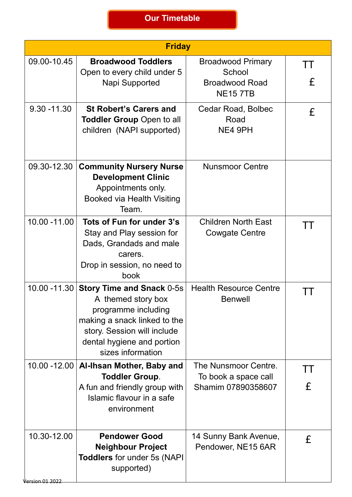|                                        | <b>Friday</b>                                                                                                                                                                                   |                                                                    |              |
|----------------------------------------|-------------------------------------------------------------------------------------------------------------------------------------------------------------------------------------------------|--------------------------------------------------------------------|--------------|
| 09.00-10.45                            | <b>Broadwood Toddlers</b>                                                                                                                                                                       | <b>Broadwood Primary</b>                                           | TT           |
|                                        | Open to every child under 5<br>Napi Supported                                                                                                                                                   | School<br><b>Broadwood Road</b><br><b>NE157TB</b>                  | £            |
| $9.30 - 11.30$                         | <b>St Robert's Carers and</b><br><b>Toddler Group Open to all</b><br>children (NAPI supported)                                                                                                  | Cedar Road, Bolbec<br>Road<br>NE4 9PH                              | £            |
| 09.30-12.30                            | <b>Community Nursery Nurse</b><br><b>Development Clinic</b><br>Appointments only.<br><b>Booked via Health Visiting</b><br>Team.                                                                 | <b>Nunsmoor Centre</b>                                             |              |
| 10.00 - 11.00                          | Tots of Fun for under 3's<br>Stay and Play session for<br>Dads, Grandads and male<br>carers.<br>Drop in session, no need to<br>book                                                             | <b>Children North East</b><br><b>Cowgate Centre</b>                | TТ           |
| 10.00 -11.30                           | <b>Story Time and Snack 0-5s</b><br>A themed story box<br>programme including<br>making a snack linked to the<br>story. Session will include<br>dental hygiene and portion<br>sizes information | <b>Health Resource Centre</b><br><b>Benwell</b>                    |              |
|                                        | 10.00 -12.00   Al-Ihsan Mother, Baby and<br><b>Toddler Group.</b><br>A fun and friendly group with<br>Islamic flavour in a safe<br>environment                                                  | The Nunsmoor Centre.<br>To book a space call<br>Shamim 07890358607 | $\perp$<br>£ |
| 10.30-12.00<br><u> /ersion 01 2022</u> | <b>Pendower Good</b><br><b>Neighbour Project</b><br><b>Toddlers</b> for under 5s (NAPI<br>supported)                                                                                            | 14 Sunny Bank Avenue,<br>Pendower, NE15 6AR                        | £            |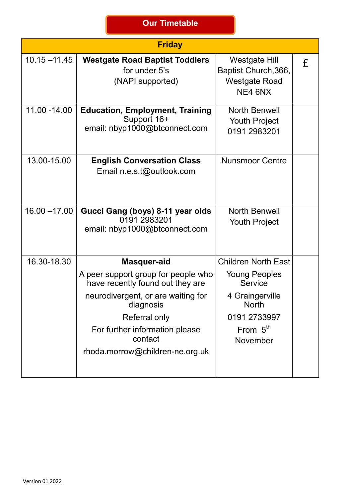|                 | <b>Friday</b>                                                                          |                                                                          |   |
|-----------------|----------------------------------------------------------------------------------------|--------------------------------------------------------------------------|---|
| $10.15 - 11.45$ | <b>Westgate Road Baptist Toddlers</b><br>for under 5's<br>(NAPI supported)             | Westgate Hill<br>Baptist Church, 366,<br><b>Westgate Road</b><br>NE4 6NX | £ |
| 11.00 - 14.00   | <b>Education, Employment, Training</b><br>Support 16+<br>email: nbyp1000@btconnect.com | <b>North Benwell</b><br><b>Youth Project</b><br>0191 2983201             |   |
| 13.00-15.00     | <b>English Conversation Class</b><br>Email n.e.s.t@outlook.com                         | <b>Nunsmoor Centre</b>                                                   |   |
| $16.00 - 17.00$ | Gucci Gang (boys) 8-11 year olds<br>0191 2983201<br>email: nbyp1000@btconnect.com      | <b>North Benwell</b><br><b>Youth Project</b>                             |   |
| 16.30-18.30     | Masquer-aid                                                                            | <b>Children North East</b>                                               |   |
|                 | A peer support group for people who<br>have recently found out they are                | <b>Young Peoples</b><br>Service                                          |   |
|                 | neurodivergent, or are waiting for<br>diagnosis                                        | 4 Graingerville<br><b>North</b>                                          |   |
|                 | <b>Referral only</b>                                                                   | 0191 2733997                                                             |   |
|                 | For further information please<br>contact                                              | From $5th$<br>November                                                   |   |
|                 | rhoda.morrow@children-ne.org.uk                                                        |                                                                          |   |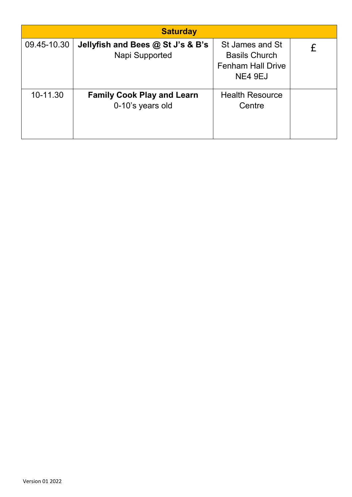|             | <b>Saturday</b>                                       |                                                                                |  |
|-------------|-------------------------------------------------------|--------------------------------------------------------------------------------|--|
| 09.45-10.30 | Jellyfish and Bees @ St J's & B's<br>Napi Supported   | St James and St<br><b>Basils Church</b><br><b>Fenham Hall Drive</b><br>NE4 9EJ |  |
| 10-11.30    | <b>Family Cook Play and Learn</b><br>0-10's years old | <b>Health Resource</b><br>Centre                                               |  |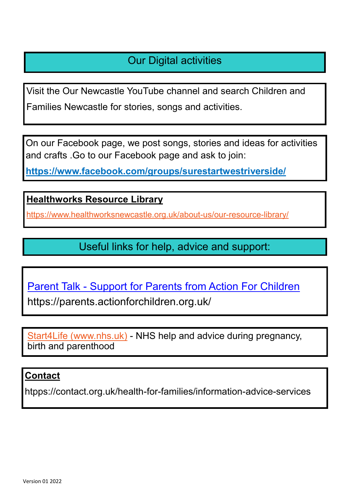## Our Digital activities

Visit the Our Newcastle YouTube channel and search Children and Families Newcastle for stories, songs and activities.

On our Facebook page, we post songs, stories and ideas for activities and crafts .Go to our Facebook page and ask to join:

**<https://www.facebook.com/groups/surestartwestriverside/>**

**Healthworks Resource Library** 

[https://www.healthworksnewcastle.org.uk/about](https://www.healthworksnewcastle.org.uk/about-us/our-resource-library/)-us/our-resource-library/

Useful links for help, advice and support:

Parent Talk - [Support for Parents from Action For Children](https://parents.actionforchildren.org.uk/)

https://parents.actionforchildren.org.uk/

[Start4Life \(www.nhs.uk\)](https://www.nhs.uk/start4life) - NHS help and advice during pregnancy, birth and parenthood

#### **Contact**

htpps://contact.org.uk/health-for-families/information-advice-services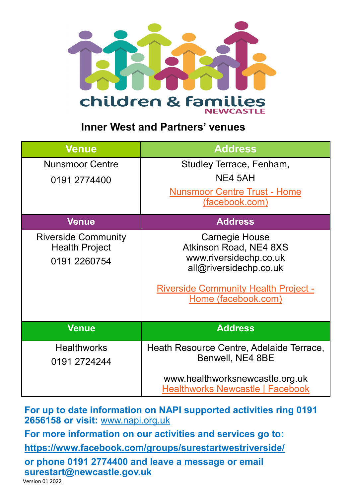

### **Inner West and Partners' venues**

| <b>Venue</b>                                                        | <b>Address</b>                                                                                                                                                            |
|---------------------------------------------------------------------|---------------------------------------------------------------------------------------------------------------------------------------------------------------------------|
| <b>Nunsmoor Centre</b>                                              | Studley Terrace, Fenham,                                                                                                                                                  |
| 0191 2774400                                                        | NE4 5AH                                                                                                                                                                   |
|                                                                     | <b>Nunsmoor Centre Trust - Home</b>                                                                                                                                       |
|                                                                     | (facebook.com)                                                                                                                                                            |
| <b>Venue</b>                                                        | <b>Address</b>                                                                                                                                                            |
| <b>Riverside Community</b><br><b>Health Project</b><br>0191 2260754 | <b>Carnegie House</b><br>Atkinson Road, NE4 8XS<br>www.riversidechp.co.uk<br>all@riversidechp.co.uk<br><b>Riverside Community Health Project -</b><br>Home (facebook.com) |
| <b>Venue</b>                                                        | <b>Address</b>                                                                                                                                                            |
| <b>Healthworks</b>                                                  | Heath Resource Centre, Adelaide Terrace,                                                                                                                                  |
| 0191 2724244                                                        | Benwell, NE4 8BE                                                                                                                                                          |
|                                                                     | www.healthworksnewcastle.org.uk<br><b>Healthworks Newcastle   Facebook</b>                                                                                                |
|                                                                     |                                                                                                                                                                           |

**For up to date information on NAPI supported activities ring 0191 2656158 or visit:** [www.napi.org.uk](http://www.napi.org.uk)

**For more information on our activities and services go to:**

**<https://www.facebook.com/groups/surestartwestriverside/>**

**or phone 0191 2774400 and leave a message or email surestart@newcastle.gov.uk**

Version 01 2022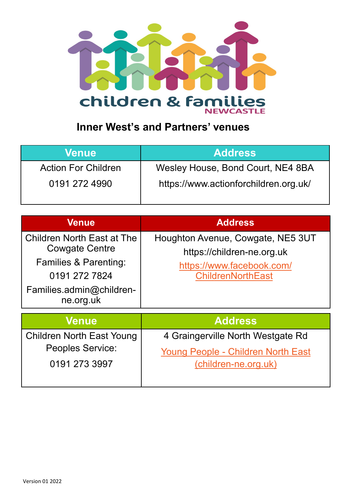

# **Inner West's and Partners' venues**

| Venue                      | <b>Address</b>                        |
|----------------------------|---------------------------------------|
| <b>Action For Children</b> | Wesley House, Bond Court, NE4 8BA     |
| 0191 272 4990              | https://www.actionforchildren.org.uk/ |

| <b>Venue</b>                                                                                                                                             | <b>Address</b>                                                                                                           |
|----------------------------------------------------------------------------------------------------------------------------------------------------------|--------------------------------------------------------------------------------------------------------------------------|
| <b>Children North East at The</b><br><b>Cowgate Centre</b><br><b>Families &amp; Parenting:</b><br>0191 272 7824<br>Families.admin@children-<br>ne.org.uk | Houghton Avenue, Cowgate, NE5 3UT<br>https://children-ne.org.uk<br>https://www.facebook.com/<br><b>ChildrenNorthEast</b> |
| <b>Venue</b>                                                                                                                                             | <b>Address</b>                                                                                                           |
| <b>Children North East Young</b><br><b>Peoples Service:</b><br>0191 273 3997                                                                             | 4 Graingerville North Westgate Rd<br><b>Young People - Children North East</b><br>(children-ne.org.uk)                   |